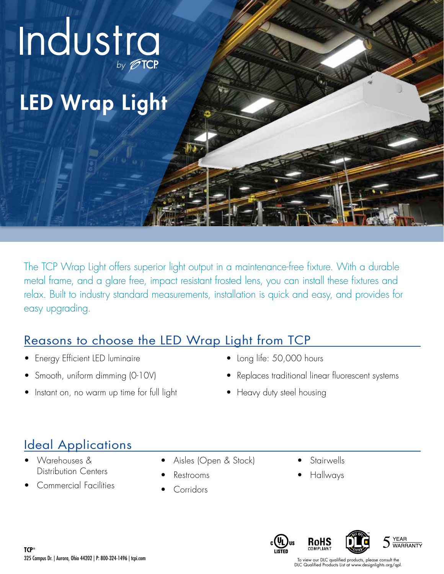

The TCP Wrap Light offers superior light output in a maintenance-free fixture. With a durable metal frame, and a glare free, impact resistant frosted lens, you can install these fixtures and relax. Built to industry standard measurements, installation is quick and easy, and provides for easy upgrading.

### Reasons to choose the LED Wrap Light from TCP

- Energy Efficient LED luminaire
- Smooth, uniform dimming (0-10V)
- Instant on, no warm up time for full light
- Long life: 50,000 hours
- Replaces traditional linear fluorescent systems
- Heavy duty steel housing

## Ideal Applications

- Warehouses & Distribution Centers
- Commercial Facilities
- Aisles (Open & Stock)
- Restrooms
- Corridors
- **Stairwells**
- Hallways